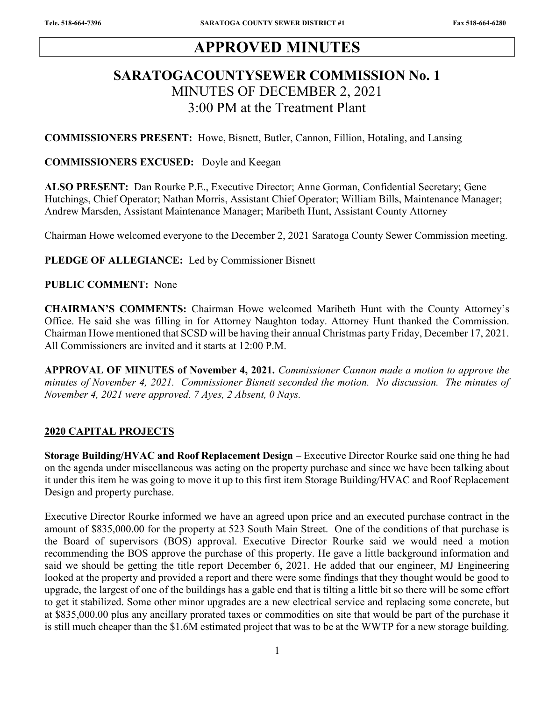# APPROVED MINUTES

# SARATOGACOUNTYSEWER COMMISSION No. 1 MINUTES OF DECEMBER 2, 2021 3:00 PM at the Treatment Plant

COMMISSIONERS PRESENT: Howe, Bisnett, Butler, Cannon, Fillion, Hotaling, and Lansing

#### COMMISSIONERS EXCUSED: Doyle and Keegan

ALSO PRESENT: Dan Rourke P.E., Executive Director; Anne Gorman, Confidential Secretary; Gene Hutchings, Chief Operator; Nathan Morris, Assistant Chief Operator; William Bills, Maintenance Manager; Andrew Marsden, Assistant Maintenance Manager; Maribeth Hunt, Assistant County Attorney

Chairman Howe welcomed everyone to the December 2, 2021 Saratoga County Sewer Commission meeting.

PLEDGE OF ALLEGIANCE: Led by Commissioner Bisnett

### PUBLIC COMMENT: None

CHAIRMAN'S COMMENTS: Chairman Howe welcomed Maribeth Hunt with the County Attorney's Office. He said she was filling in for Attorney Naughton today. Attorney Hunt thanked the Commission. Chairman Howe mentioned that SCSD will be having their annual Christmas party Friday, December 17, 2021. All Commissioners are invited and it starts at 12:00 P.M.

APPROVAL OF MINUTES of November 4, 2021. Commissioner Cannon made a motion to approve the minutes of November 4, 2021. Commissioner Bisnett seconded the motion. No discussion. The minutes of November 4, 2021 were approved. 7 Ayes, 2 Absent, 0 Nays.

#### 2020 CAPITAL PROJECTS

Storage Building/HVAC and Roof Replacement Design – Executive Director Rourke said one thing he had on the agenda under miscellaneous was acting on the property purchase and since we have been talking about it under this item he was going to move it up to this first item Storage Building/HVAC and Roof Replacement Design and property purchase.

Executive Director Rourke informed we have an agreed upon price and an executed purchase contract in the amount of \$835,000.00 for the property at 523 South Main Street. One of the conditions of that purchase is the Board of supervisors (BOS) approval. Executive Director Rourke said we would need a motion recommending the BOS approve the purchase of this property. He gave a little background information and said we should be getting the title report December 6, 2021. He added that our engineer, MJ Engineering looked at the property and provided a report and there were some findings that they thought would be good to upgrade, the largest of one of the buildings has a gable end that is tilting a little bit so there will be some effort to get it stabilized. Some other minor upgrades are a new electrical service and replacing some concrete, but at \$835,000.00 plus any ancillary prorated taxes or commodities on site that would be part of the purchase it is still much cheaper than the \$1.6M estimated project that was to be at the WWTP for a new storage building.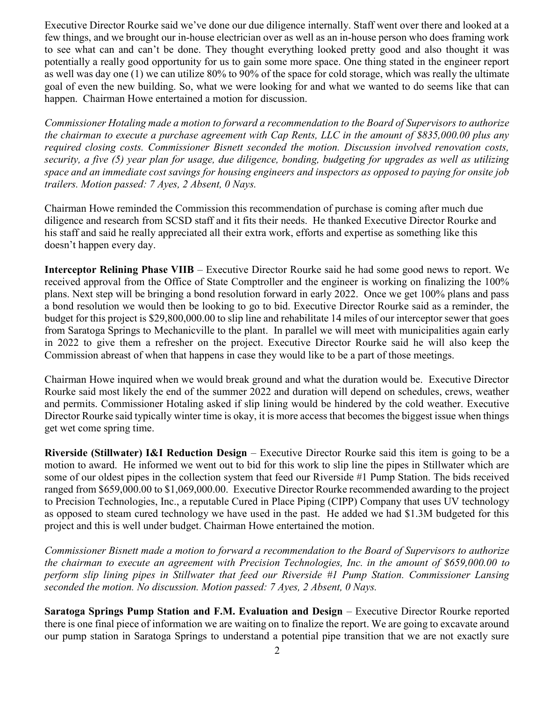Executive Director Rourke said we've done our due diligence internally. Staff went over there and looked at a few things, and we brought our in-house electrician over as well as an in-house person who does framing work to see what can and can't be done. They thought everything looked pretty good and also thought it was potentially a really good opportunity for us to gain some more space. One thing stated in the engineer report as well was day one (1) we can utilize 80% to 90% of the space for cold storage, which was really the ultimate goal of even the new building. So, what we were looking for and what we wanted to do seems like that can happen. Chairman Howe entertained a motion for discussion.

Commissioner Hotaling made a motion to forward a recommendation to the Board of Supervisors to authorize the chairman to execute a purchase agreement with Cap Rents, LLC in the amount of \$835,000.00 plus any required closing costs. Commissioner Bisnett seconded the motion. Discussion involved renovation costs, security, a five (5) year plan for usage, due diligence, bonding, budgeting for upgrades as well as utilizing space and an immediate cost savings for housing engineers and inspectors as opposed to paying for onsite job trailers. Motion passed: 7 Ayes, 2 Absent, 0 Nays.

Chairman Howe reminded the Commission this recommendation of purchase is coming after much due diligence and research from SCSD staff and it fits their needs. He thanked Executive Director Rourke and his staff and said he really appreciated all their extra work, efforts and expertise as something like this doesn't happen every day.

Interceptor Relining Phase VIIB – Executive Director Rourke said he had some good news to report. We received approval from the Office of State Comptroller and the engineer is working on finalizing the 100% plans. Next step will be bringing a bond resolution forward in early 2022. Once we get 100% plans and pass a bond resolution we would then be looking to go to bid. Executive Director Rourke said as a reminder, the budget for this project is \$29,800,000.00 to slip line and rehabilitate 14 miles of our interceptor sewer that goes from Saratoga Springs to Mechanicville to the plant. In parallel we will meet with municipalities again early in 2022 to give them a refresher on the project. Executive Director Rourke said he will also keep the Commission abreast of when that happens in case they would like to be a part of those meetings.

Chairman Howe inquired when we would break ground and what the duration would be. Executive Director Rourke said most likely the end of the summer 2022 and duration will depend on schedules, crews, weather and permits. Commissioner Hotaling asked if slip lining would be hindered by the cold weather. Executive Director Rourke said typically winter time is okay, it is more access that becomes the biggest issue when things get wet come spring time.

Riverside (Stillwater) I&I Reduction Design – Executive Director Rourke said this item is going to be a motion to award. He informed we went out to bid for this work to slip line the pipes in Stillwater which are some of our oldest pipes in the collection system that feed our Riverside #1 Pump Station. The bids received ranged from \$659,000.00 to \$1,069,000.00. Executive Director Rourke recommended awarding to the project to Precision Technologies, Inc., a reputable Cured in Place Piping (CIPP) Company that uses UV technology as opposed to steam cured technology we have used in the past. He added we had \$1.3M budgeted for this project and this is well under budget. Chairman Howe entertained the motion.

Commissioner Bisnett made a motion to forward a recommendation to the Board of Supervisors to authorize the chairman to execute an agreement with Precision Technologies, Inc. in the amount of \$659,000.00 to perform slip lining pipes in Stillwater that feed our Riverside #1 Pump Station. Commissioner Lansing seconded the motion. No discussion. Motion passed: 7 Ayes, 2 Absent, 0 Nays.

Saratoga Springs Pump Station and F.M. Evaluation and Design – Executive Director Rourke reported there is one final piece of information we are waiting on to finalize the report. We are going to excavate around our pump station in Saratoga Springs to understand a potential pipe transition that we are not exactly sure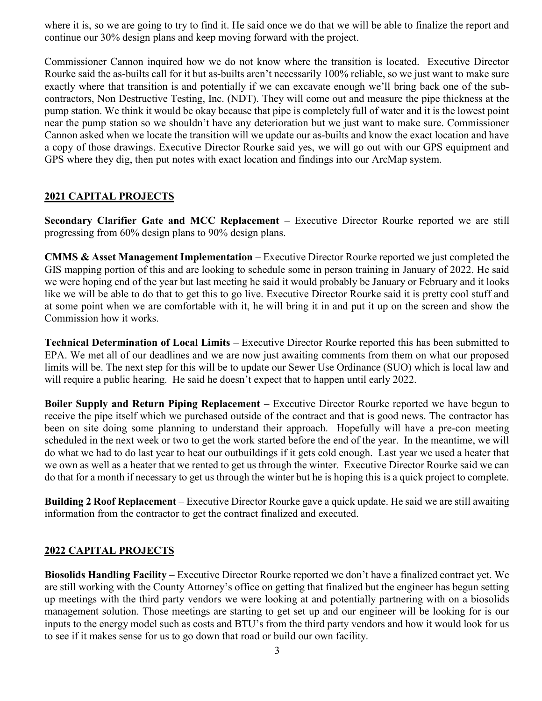where it is, so we are going to try to find it. He said once we do that we will be able to finalize the report and continue our 30% design plans and keep moving forward with the project.

Commissioner Cannon inquired how we do not know where the transition is located. Executive Director Rourke said the as-builts call for it but as-builts aren't necessarily 100% reliable, so we just want to make sure exactly where that transition is and potentially if we can excavate enough we'll bring back one of the subcontractors, Non Destructive Testing, Inc. (NDT). They will come out and measure the pipe thickness at the pump station. We think it would be okay because that pipe is completely full of water and it is the lowest point near the pump station so we shouldn't have any deterioration but we just want to make sure. Commissioner Cannon asked when we locate the transition will we update our as-builts and know the exact location and have a copy of those drawings. Executive Director Rourke said yes, we will go out with our GPS equipment and GPS where they dig, then put notes with exact location and findings into our ArcMap system.

## 2021 CAPITAL PROJECTS

Secondary Clarifier Gate and MCC Replacement – Executive Director Rourke reported we are still progressing from 60% design plans to 90% design plans.

CMMS & Asset Management Implementation – Executive Director Rourke reported we just completed the GIS mapping portion of this and are looking to schedule some in person training in January of 2022. He said we were hoping end of the year but last meeting he said it would probably be January or February and it looks like we will be able to do that to get this to go live. Executive Director Rourke said it is pretty cool stuff and at some point when we are comfortable with it, he will bring it in and put it up on the screen and show the Commission how it works.

Technical Determination of Local Limits – Executive Director Rourke reported this has been submitted to EPA. We met all of our deadlines and we are now just awaiting comments from them on what our proposed limits will be. The next step for this will be to update our Sewer Use Ordinance (SUO) which is local law and will require a public hearing. He said he doesn't expect that to happen until early 2022.

Boiler Supply and Return Piping Replacement – Executive Director Rourke reported we have begun to receive the pipe itself which we purchased outside of the contract and that is good news. The contractor has been on site doing some planning to understand their approach. Hopefully will have a pre-con meeting scheduled in the next week or two to get the work started before the end of the year. In the meantime, we will do what we had to do last year to heat our outbuildings if it gets cold enough. Last year we used a heater that we own as well as a heater that we rented to get us through the winter. Executive Director Rourke said we can do that for a month if necessary to get us through the winter but he is hoping this is a quick project to complete.

Building 2 Roof Replacement – Executive Director Rourke gave a quick update. He said we are still awaiting information from the contractor to get the contract finalized and executed.

## 2022 CAPITAL PROJECTS

Biosolids Handling Facility – Executive Director Rourke reported we don't have a finalized contract yet. We are still working with the County Attorney's office on getting that finalized but the engineer has begun setting up meetings with the third party vendors we were looking at and potentially partnering with on a biosolids management solution. Those meetings are starting to get set up and our engineer will be looking for is our inputs to the energy model such as costs and BTU's from the third party vendors and how it would look for us to see if it makes sense for us to go down that road or build our own facility.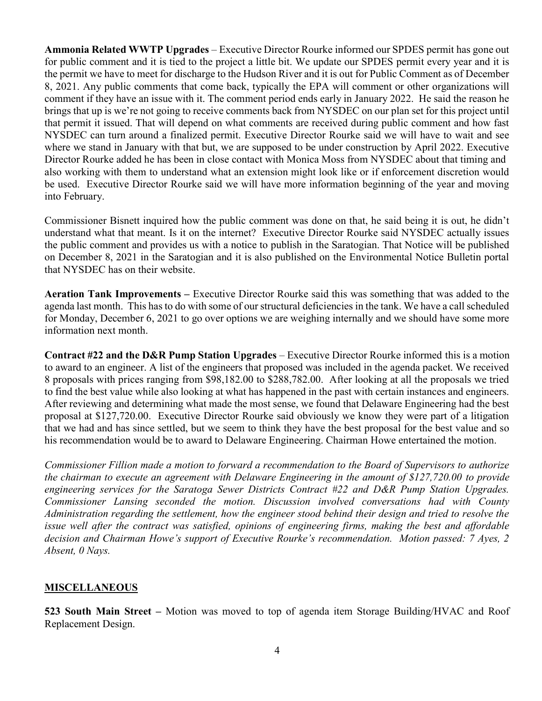Ammonia Related WWTP Upgrades – Executive Director Rourke informed our SPDES permit has gone out for public comment and it is tied to the project a little bit. We update our SPDES permit every year and it is the permit we have to meet for discharge to the Hudson River and it is out for Public Comment as of December 8, 2021. Any public comments that come back, typically the EPA will comment or other organizations will comment if they have an issue with it. The comment period ends early in January 2022. He said the reason he brings that up is we're not going to receive comments back from NYSDEC on our plan set for this project until that permit it issued. That will depend on what comments are received during public comment and how fast NYSDEC can turn around a finalized permit. Executive Director Rourke said we will have to wait and see where we stand in January with that but, we are supposed to be under construction by April 2022. Executive Director Rourke added he has been in close contact with Monica Moss from NYSDEC about that timing and also working with them to understand what an extension might look like or if enforcement discretion would be used. Executive Director Rourke said we will have more information beginning of the year and moving into February.

Commissioner Bisnett inquired how the public comment was done on that, he said being it is out, he didn't understand what that meant. Is it on the internet? Executive Director Rourke said NYSDEC actually issues the public comment and provides us with a notice to publish in the Saratogian. That Notice will be published on December 8, 2021 in the Saratogian and it is also published on the Environmental Notice Bulletin portal that NYSDEC has on their website.

Aeration Tank Improvements – Executive Director Rourke said this was something that was added to the agenda last month. This has to do with some of our structural deficiencies in the tank. We have a call scheduled for Monday, December 6, 2021 to go over options we are weighing internally and we should have some more information next month.

Contract #22 and the D&R Pump Station Upgrades – Executive Director Rourke informed this is a motion to award to an engineer. A list of the engineers that proposed was included in the agenda packet. We received 8 proposals with prices ranging from \$98,182.00 to \$288,782.00. After looking at all the proposals we tried to find the best value while also looking at what has happened in the past with certain instances and engineers. After reviewing and determining what made the most sense, we found that Delaware Engineering had the best proposal at \$127,720.00. Executive Director Rourke said obviously we know they were part of a litigation that we had and has since settled, but we seem to think they have the best proposal for the best value and so his recommendation would be to award to Delaware Engineering. Chairman Howe entertained the motion.

Commissioner Fillion made a motion to forward a recommendation to the Board of Supervisors to authorize the chairman to execute an agreement with Delaware Engineering in the amount of \$127,720.00 to provide engineering services for the Saratoga Sewer Districts Contract #22 and D&R Pump Station Upgrades. Commissioner Lansing seconded the motion. Discussion involved conversations had with County Administration regarding the settlement, how the engineer stood behind their design and tried to resolve the issue well after the contract was satisfied, opinions of engineering firms, making the best and affordable decision and Chairman Howe's support of Executive Rourke's recommendation. Motion passed: 7 Ayes, 2 Absent, 0 Nays.

## MISCELLANEOUS

523 South Main Street – Motion was moved to top of agenda item Storage Building/HVAC and Roof Replacement Design.